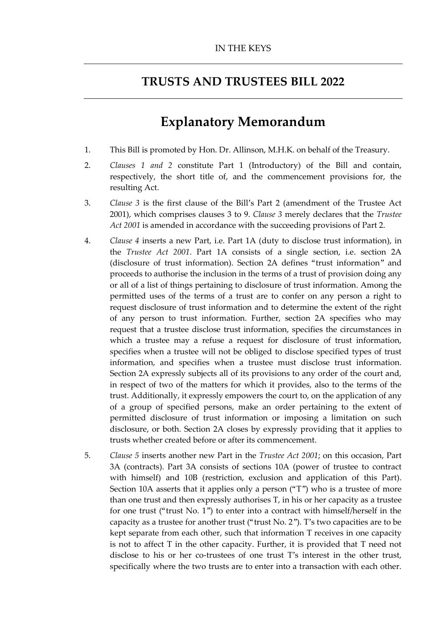## **TRUSTS AND TRUSTEES BILL 2022**

## **Explanatory Memorandum**

- 1. This Bill is promoted by Hon. Dr. Allinson, M.H.K. on behalf of the Treasury.
- 2. *Clauses 1 and 2* constitute Part 1 (Introductory) of the Bill and contain, respectively, the short title of, and the commencement provisions for, the resulting Act.
- 3. *Clause 3* is the first clause of the Bill's Part 2 (amendment of the Trustee Act 2001), which comprises clauses 3 to 9. *Clause 3* merely declares that the *Trustee Act 2001* is amended in accordance with the succeeding provisions of Part 2.
- 4. *Clause 4* inserts a new Part, i.e. Part 1A (duty to disclose trust information), in the *Trustee Act 2001*. Part 1A consists of a single section, i.e. section 2A (disclosure of trust information). Section 2A defines "trust information" and proceeds to authorise the inclusion in the terms of a trust of provision doing any or all of a list of things pertaining to disclosure of trust information. Among the permitted uses of the terms of a trust are to confer on any person a right to request disclosure of trust information and to determine the extent of the right of any person to trust information. Further, section 2A specifies who may request that a trustee disclose trust information, specifies the circumstances in which a trustee may a refuse a request for disclosure of trust information, specifies when a trustee will not be obliged to disclose specified types of trust information, and specifies when a trustee must disclose trust information. Section 2A expressly subjects all of its provisions to any order of the court and, in respect of two of the matters for which it provides, also to the terms of the trust. Additionally, it expressly empowers the court to, on the application of any of a group of specified persons, make an order pertaining to the extent of permitted disclosure of trust information or imposing a limitation on such disclosure, or both. Section 2A closes by expressly providing that it applies to trusts whether created before or after its commencement.
- 5. *Clause 5* inserts another new Part in the *Trustee Act 2001*; on this occasion, Part 3A (contracts). Part 3A consists of sections 10A (power of trustee to contract with himself) and 10B (restriction, exclusion and application of this Part). Section 10A asserts that it applies only a person ("T") who is a trustee of more than one trust and then expressly authorises T, in his or her capacity as a trustee for one trust ("trust No. 1") to enter into a contract with himself/herself in the capacity as a trustee for another trust ("trust No. 2"). T's two capacities are to be kept separate from each other, such that information T receives in one capacity is not to affect T in the other capacity. Further, it is provided that T need not disclose to his or her co-trustees of one trust T's interest in the other trust, specifically where the two trusts are to enter into a transaction with each other.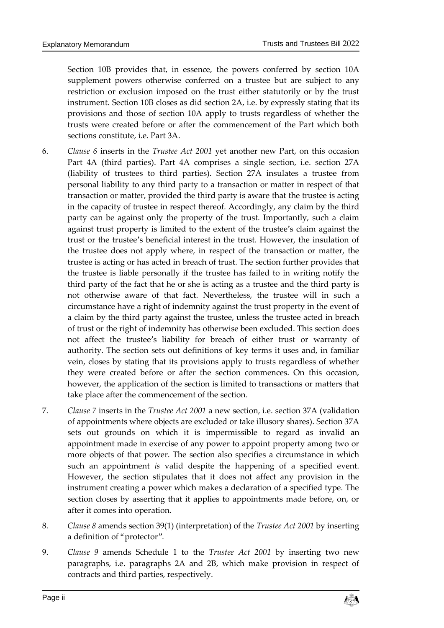Section 10B provides that, in essence, the powers conferred by section 10A supplement powers otherwise conferred on a trustee but are subject to any restriction or exclusion imposed on the trust either statutorily or by the trust instrument. Section 10B closes as did section 2A, i.e. by expressly stating that its provisions and those of section 10A apply to trusts regardless of whether the trusts were created before or after the commencement of the Part which both sections constitute, i.e. Part 3A.

- 6. *Clause 6* inserts in the *Trustee Act 2001* yet another new Part, on this occasion Part 4A (third parties). Part 4A comprises a single section, i.e. section 27A (liability of trustees to third parties). Section 27A insulates a trustee from personal liability to any third party to a transaction or matter in respect of that transaction or matter, provided the third party is aware that the trustee is acting in the capacity of trustee in respect thereof. Accordingly, any claim by the third party can be against only the property of the trust. Importantly, such a claim against trust property is limited to the extent of the trustee's claim against the trust or the trustee's beneficial interest in the trust. However, the insulation of the trustee does not apply where, in respect of the transaction or matter, the trustee is acting or has acted in breach of trust. The section further provides that the trustee is liable personally if the trustee has failed to in writing notify the third party of the fact that he or she is acting as a trustee and the third party is not otherwise aware of that fact. Nevertheless, the trustee will in such a circumstance have a right of indemnity against the trust property in the event of a claim by the third party against the trustee, unless the trustee acted in breach of trust or the right of indemnity has otherwise been excluded. This section does not affect the trustee's liability for breach of either trust or warranty of authority. The section sets out definitions of key terms it uses and, in familiar vein, closes by stating that its provisions apply to trusts regardless of whether they were created before or after the section commences. On this occasion, however, the application of the section is limited to transactions or matters that take place after the commencement of the section.
- 7. *Clause 7* inserts in the *Trustee Act 2001* a new section, i.e. section 37A (validation of appointments where objects are excluded or take illusory shares). Section 37A sets out grounds on which it is impermissible to regard as invalid an appointment made in exercise of any power to appoint property among two or more objects of that power. The section also specifies a circumstance in which such an appointment *is* valid despite the happening of a specified event. However, the section stipulates that it does not affect any provision in the instrument creating a power which makes a declaration of a specified type. The section closes by asserting that it applies to appointments made before, on, or after it comes into operation.
- 8. *Clause 8* amends section 39(1) (interpretation) of the *Trustee Act 2001* by inserting a definition of "protector".
- 9. *Clause 9* amends Schedule 1 to the *Trustee Act 2001* by inserting two new paragraphs, i.e. paragraphs 2A and 2B, which make provision in respect of contracts and third parties, respectively.

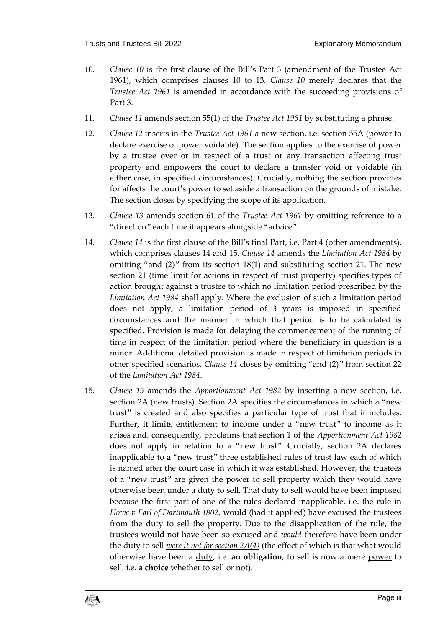- 10. *Clause 10* is the first clause of the Bill's Part 3 (amendment of the Trustee Act 1961), which comprises clauses 10 to 13. *Clause 10* merely declares that the *Trustee Act 1961* is amended in accordance with the succeeding provisions of Part 3.
- 11. *Clause 11* amends section 55(1) of the *Trustee Act 1961* by substituting a phrase.
- 12. *Clause 12* inserts in the *Trustee Act 1961* a new section, i.e. section 55A (power to declare exercise of power voidable). The section applies to the exercise of power by a trustee over or in respect of a trust or any transaction affecting trust property and empowers the court to declare a transfer void or voidable (in either case, in specified circumstances). Crucially, nothing the section provides for affects the court's power to set aside a transaction on the grounds of mistake. The section closes by specifying the scope of its application.
- 13. *Clause 13* amends section 61 of the *Trustee Act 1961* by omitting reference to a "direction" each time it appears alongside "advice".
- 14. *Clause 14* is the first clause of the Bill's final Part, i.e. Part 4 (other amendments), which comprises clauses 14 and 15. *Clause 14* amends the *Limitation Act 1984* by omitting "and (2)" from its section 18(1) and substituting section 21. The new section 21 (time limit for actions in respect of trust property) specifies types of action brought against a trustee to which no limitation period prescribed by the *Limitation Act 1984* shall apply. Where the exclusion of such a limitation period does not apply, a limitation period of 3 years is imposed in specified circumstances and the manner in which that period is to be calculated is specified. Provision is made for delaying the commencement of the running of time in respect of the limitation period where the beneficiary in question is a minor. Additional detailed provision is made in respect of limitation periods in other specified scenarios. *Clause 14* closes by omitting "and (2)" from section 22 of the *Limitation Act 1984*.
- 15. *Clause 15* amends the *Apportionment Act 1982* by inserting a new section, i.e. section 2A (new trusts). Section 2A specifies the circumstances in which a "new trust" is created and also specifies a particular type of trust that it includes. Further, it limits entitlement to income under a "new trust" to income as it arises and, consequently, proclaims that section 1 of the *Apportionment Act 1982* does not apply in relation to a "new trust". Crucially, section 2A declares inapplicable to a "new trust" three established rules of trust law each of which is named after the court case in which it was established. However, the trustees of a "new trust" are given the power to sell property which they would have otherwise been under a duty to sell. That duty to sell would have been imposed because the first part of one of the rules declared inapplicable, i.e. the rule in *Howe v Earl of Dartmouth 1802*, would (had it applied) have excused the trustees from the duty to sell the property. Due to the disapplication of the rule, the trustees would not have been so excused and *would* therefore have been under the duty to sell *were it not for section 2A(4)* (the effect of which is that what would otherwise have been a duty, i.e. **an obligation**, to sell is now a mere power to sell, i.e. **a choice** whether to sell or not).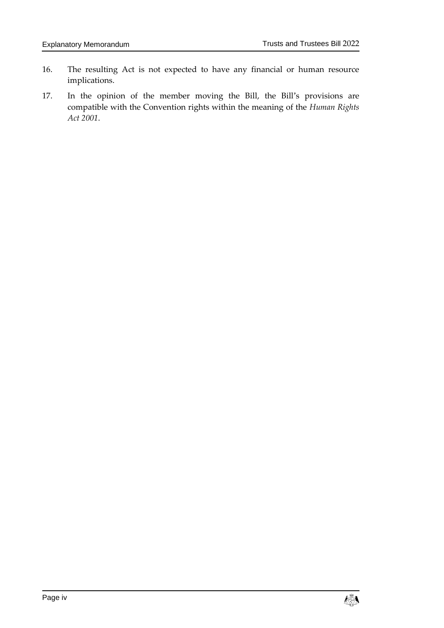- 16. The resulting Act is not expected to have any financial or human resource implications.
- 17. In the opinion of the member moving the Bill, the Bill's provisions are compatible with the Convention rights within the meaning of the *Human Rights Act 2001*.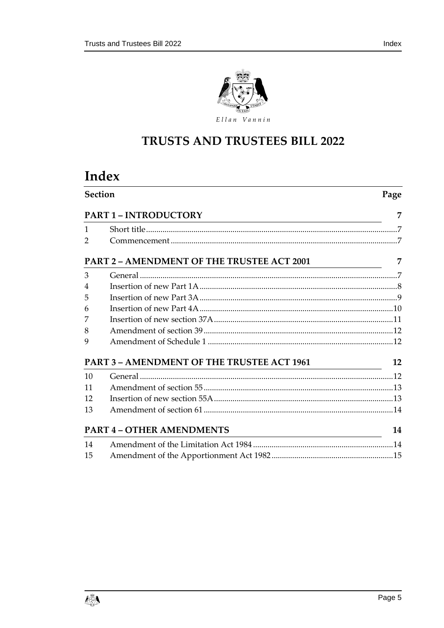

## TRUSTS AND TRUSTEES BILL 2022

# Index

|              | <b>Section</b><br>Page                                                                                   |                |  |  |  |
|--------------|----------------------------------------------------------------------------------------------------------|----------------|--|--|--|
|              | <b>PART 1 - INTRODUCTORY</b>                                                                             | 7              |  |  |  |
| $\mathbf{1}$ |                                                                                                          |                |  |  |  |
| 2            |                                                                                                          |                |  |  |  |
|              | <b>PART 2 - AMENDMENT OF THE TRUSTEE ACT 2001</b><br><u> 1989 - Johann Barbara, martin eta politikar</u> | 7              |  |  |  |
| 3            |                                                                                                          | $\overline{7}$ |  |  |  |
| 4            |                                                                                                          |                |  |  |  |
| 5            |                                                                                                          |                |  |  |  |
| 6            |                                                                                                          |                |  |  |  |
| 7            |                                                                                                          |                |  |  |  |
| 8            |                                                                                                          |                |  |  |  |
| 9            |                                                                                                          |                |  |  |  |
|              | PART 3 – AMENDMENT OF THE TRUSTEE ACT 1961                                                               | 12             |  |  |  |
| 10           |                                                                                                          |                |  |  |  |
| 11           |                                                                                                          |                |  |  |  |
| 12           |                                                                                                          |                |  |  |  |
| 13           |                                                                                                          |                |  |  |  |
|              | <b>PART 4 - OTHER AMENDMENTS</b>                                                                         | 14             |  |  |  |
| 14           |                                                                                                          |                |  |  |  |
| 15           |                                                                                                          |                |  |  |  |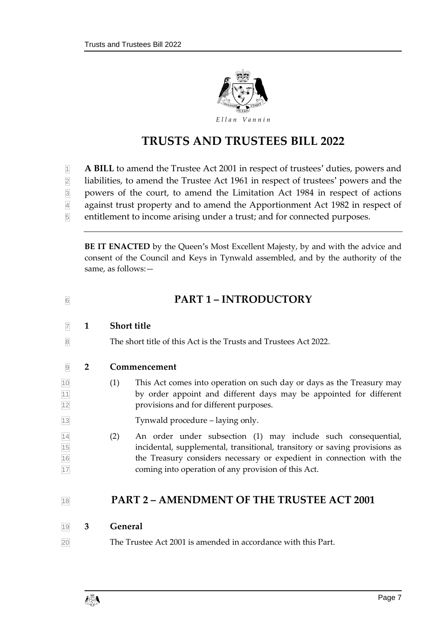

## **TRUSTS AND TRUSTEES BILL 2022**

**A BILL** to amend the Trustee Act 2001 in respect of trustees' duties, powers and

liabilities, to amend the Trustee Act 1961 in respect of trustees' powers and the

powers of the court, to amend the Limitation Act 1984 in respect of actions

against trust property and to amend the Apportionment Act 1982 in respect of

entitlement to income arising under a trust; and for connected purposes.

**BE IT ENACTED** by the Queen's Most Excellent Majesty, by and with the advice and consent of the Council and Keys in Tynwald assembled, and by the authority of the same, as follows:—

<span id="page-6-2"></span><span id="page-6-1"></span><span id="page-6-0"></span>

| 6                                  |                | <b>PART 1-INTRODUCTORY</b>                                                                                                                                                                                                                                                        |  |  |  |  |  |
|------------------------------------|----------------|-----------------------------------------------------------------------------------------------------------------------------------------------------------------------------------------------------------------------------------------------------------------------------------|--|--|--|--|--|
| $\overline{7}$                     | 1              | <b>Short title</b>                                                                                                                                                                                                                                                                |  |  |  |  |  |
| $\overline{8}$                     |                | The short title of this Act is the Trusts and Trustees Act 2022.                                                                                                                                                                                                                  |  |  |  |  |  |
| 9                                  | $\overline{2}$ | Commencement                                                                                                                                                                                                                                                                      |  |  |  |  |  |
| $\frac{10}{11}$<br>$\frac{11}{12}$ |                | (1)<br>This Act comes into operation on such day or days as the Treasury may<br>by order appoint and different days may be appointed for different<br>provisions and for different purposes.                                                                                      |  |  |  |  |  |
| $\overline{13}$                    |                | Tynwald procedure – laying only.                                                                                                                                                                                                                                                  |  |  |  |  |  |
| $\frac{14}{15}$ $\frac{16}{17}$    |                | An order under subsection (1) may include such consequential,<br>(2)<br>incidental, supplemental, transitional, transitory or saving provisions as<br>the Treasury considers necessary or expedient in connection with the<br>coming into operation of any provision of this Act. |  |  |  |  |  |
| 18                                 |                | <b>PART 2 – AMENDMENT OF THE TRUSTEE ACT 2001</b>                                                                                                                                                                                                                                 |  |  |  |  |  |
| 19                                 | 3              | General                                                                                                                                                                                                                                                                           |  |  |  |  |  |

<span id="page-6-4"></span><span id="page-6-3"></span>The Trustee Act 2001 is amended in accordance with this Part.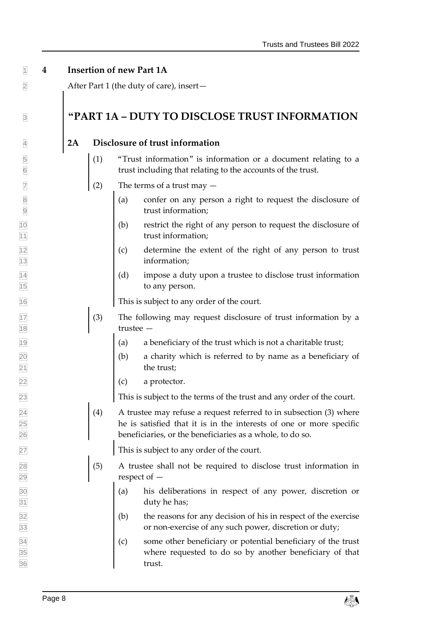#### <span id="page-7-0"></span>**4 Insertion of new Part 1A**

After Part 1 (the duty of care), insert—

### **"PART 1A – DUTY TO DISCLOSE TRUST INFORMATION**

#### **2A Disclosure of trust information**

- (1) "Trust information" is information or a document relating to a trust including that relating to the accounts of the trust.
- $\sqrt{7}$  (2) The terms of a trust may  $-$
- $\boxed{8}$  (a) confer on any person a right to request the disclosure of trust information;
- (b) restrict the right of any person to request the disclosure of 11 trust information;
- $\vert$  (c) determine the extent of the right of any person to trust information;
- $\begin{cases} (d) \quad \text{impose a duty upon a trusted to disclose trust information} \end{cases}$ to any person.

This is subject to any order of the court.

- $\boxed{17}$  (3) The following may request disclosure of trust information by a trustee —
- $\begin{bmatrix} 19 \\ 19 \end{bmatrix}$  (a) a beneficiary of the trust which is not a charitable trust;
- (b) a charity which is referred to by name as a beneficiary of 21 the trust;
- (c) a protector.

This is subject to the terms of the trust and any order of the court.

 $\boxed{24}$  (4) A trustee may refuse a request referred to in subsection (3) where he is satisfied that it is in the interests of one or more specific beneficiaries, or the beneficiaries as a whole, to do so.

This is subject to any order of the court.

- $\boxed{28}$  (5) A trustee shall not be required to disclose trust information in respect of —
- (a) his deliberations in respect of any power, discretion or duty he has;
- $\vert$  (b) the reasons for any decision of his in respect of the exercise or non-exercise of any such power, discretion or duty;
- $\vert$  (c) some other beneficiary or potential beneficiary of the trust where requested to do so by another beneficiary of that trust.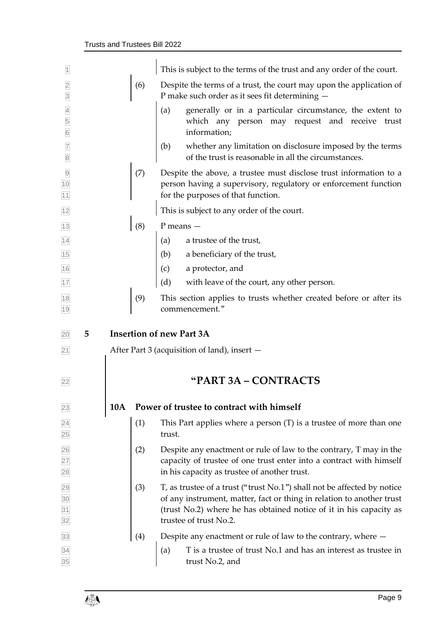<span id="page-8-0"></span>

| $\overline{1}$                         |   |            |     | This is subject to the terms of the trust and any order of the court.                                                                                                                                                                            |
|----------------------------------------|---|------------|-----|--------------------------------------------------------------------------------------------------------------------------------------------------------------------------------------------------------------------------------------------------|
| $\overline{2}$<br>$\overline{3}$       |   |            | (6) | Despite the terms of a trust, the court may upon the application of<br>P make such order as it sees fit determining -                                                                                                                            |
| $\overline{4}$<br>5<br>$6\overline{6}$ |   |            |     | generally or in a particular circumstance, the extent to<br>(a)<br>which any person may request and receive trust<br>information;                                                                                                                |
| $\overline{7}$<br>$\boxed{8}$          |   |            |     | (b)<br>whether any limitation on disclosure imposed by the terms<br>of the trust is reasonable in all the circumstances.                                                                                                                         |
| $\overline{9}$<br>10<br>11             |   |            | (7) | Despite the above, a trustee must disclose trust information to a<br>person having a supervisory, regulatory or enforcement function<br>for the purposes of that function.                                                                       |
| 12                                     |   |            |     | This is subject to any order of the court.                                                                                                                                                                                                       |
| 13                                     |   |            | (8) | $P$ means $-$                                                                                                                                                                                                                                    |
| 14                                     |   |            |     | a trustee of the trust,<br>(a)                                                                                                                                                                                                                   |
| 15                                     |   |            |     | (b) a beneficiary of the trust,                                                                                                                                                                                                                  |
| 16                                     |   |            |     | a protector, and<br>(c)                                                                                                                                                                                                                          |
| $17$                                   |   |            |     | (d)<br>with leave of the court, any other person.                                                                                                                                                                                                |
| 18<br>19                               |   |            | (9) | This section applies to trusts whether created before or after its<br>commencement."                                                                                                                                                             |
|                                        |   |            |     |                                                                                                                                                                                                                                                  |
| 20                                     | 5 |            |     | <b>Insertion of new Part 3A</b>                                                                                                                                                                                                                  |
| 21                                     |   |            |     | After Part 3 (acquisition of land), insert -                                                                                                                                                                                                     |
| 22                                     |   |            |     | "PART 3A - CONTRACTS                                                                                                                                                                                                                             |
| 23                                     |   | <b>10A</b> |     | Power of trustee to contract with himself                                                                                                                                                                                                        |
| $\overline{24}$<br>25                  |   |            | (1) | This Part applies where a person $(T)$ is a trustee of more than one<br>trust.                                                                                                                                                                   |
| 26<br>27<br>28                         |   |            | (2) | Despite any enactment or rule of law to the contrary, T may in the<br>capacity of trustee of one trust enter into a contract with himself<br>in his capacity as trustee of another trust.                                                        |
| 29<br>$\overline{30}$<br>31<br>32      |   |            | (3) | T, as trustee of a trust ("trust No.1") shall not be affected by notice<br>of any instrument, matter, fact or thing in relation to another trust<br>(trust No.2) where he has obtained notice of it in his capacity as<br>trustee of trust No.2. |
| 33                                     |   |            | (4) | Despite any enactment or rule of law to the contrary, where $-$                                                                                                                                                                                  |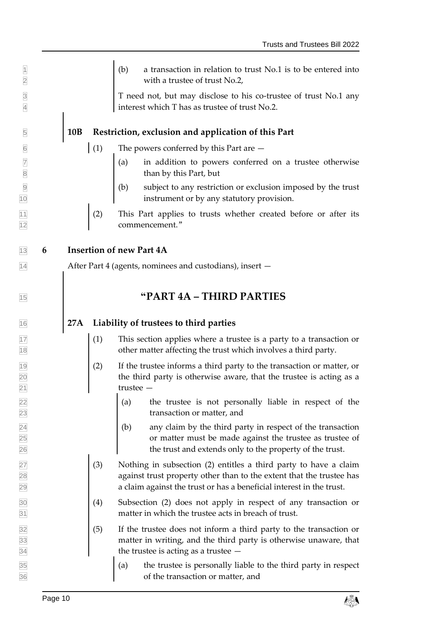$\vert$  (b) a transaction in relation to trust No.1 is to be entered into **2** with a trustee of trust No.2,

3 T need not, but may disclose to his co-trustee of trust No.1 any 4 interest which T has as trustee of trust No.2.

### 5 **10B Restriction, exclusion and application of this Part**

- $\boxed{6}$  (1) The powers conferred by this Part are  $-$
- $\sqrt{a}$  in addition to powers conferred on a trustee otherwise 8 **8** than by this Part, but
- 9 (b) subject to any restriction or exclusion imposed by the trust 10 instrument or by any statutory provision.
- 11 (2) This Part applies to trusts whether created before or after its 12 commencement."

<span id="page-9-0"></span>13 **6 Insertion of new Part 4A**

14 After Part 4 (agents, nominees and custodians), insert —

## <sup>15</sup> **"PART 4A – THIRD PARTIES**

### 16 **27A Liability of trustees to third parties**

- $\boxed{17}$  (1) This section applies where a trustee is a party to a transaction or 18 other matter affecting the trust which involves a third party.
- $\vert$  (2) If the trustee informs a third party to the transaction or matter, or 20 120 the third party is otherwise aware, that the trustee is acting as a 21 trustee —
- 22 (a) the trustee is not personally liable in respect of the 23 transaction or matter, and
- $\boxed{24}$  (b) any claim by the third party in respect of the transaction 25 or matter must be made against the trustee as trustee of 26 the trust and extends only to the property of the trust.
- $\boxed{27}$  (3) Nothing in subsection (2) entitles a third party to have a claim 28 **against trust property other than to the extent that the trustee has** 29 a claim against the trust or has a beneficial interest in the trust.
- 30 (4) Subsection (2) does not apply in respect of any transaction or 31 matter in which the trustee acts in breach of trust.
- $\frac{32}{32}$  (5) If the trustee does not inform a third party to the transaction or 33 matter in writing, and the third party is otherwise unaware, that  $\frac{1}{34}$  the trustee is acting as a trustee  $-$
- $\begin{cases} (a) \quad \text{the true is personally liable to the third party in respect} \end{cases}$ 36 of the transaction or matter, and

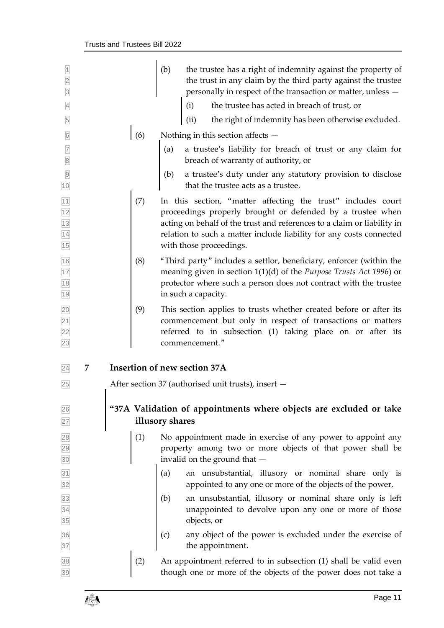<span id="page-10-0"></span>

| $\overline{1}$<br>$\overline{2}$<br>$\overline{3}$ |                                                                                       |     | (b)<br>the trustee has a right of indemnity against the property of<br>the trust in any claim by the third party against the trustee<br>personally in respect of the transaction or matter, unless -                                                                                                    |  |
|----------------------------------------------------|---------------------------------------------------------------------------------------|-----|---------------------------------------------------------------------------------------------------------------------------------------------------------------------------------------------------------------------------------------------------------------------------------------------------------|--|
| $\overline{4}$                                     |                                                                                       |     | the trustee has acted in breach of trust, or<br>(i)                                                                                                                                                                                                                                                     |  |
| $\overline{5}$                                     |                                                                                       |     | the right of indemnity has been otherwise excluded.<br>(ii)                                                                                                                                                                                                                                             |  |
| $\boxed{6}$                                        |                                                                                       | (6) | Nothing in this section affects -                                                                                                                                                                                                                                                                       |  |
| $\frac{7}{8}$                                      |                                                                                       |     | a trustee's liability for breach of trust or any claim for<br>(a)<br>breach of warranty of authority, or                                                                                                                                                                                                |  |
| $\overline{9}$<br>10                               |                                                                                       |     | a trustee's duty under any statutory provision to disclose<br>(b)<br>that the trustee acts as a trustee.                                                                                                                                                                                                |  |
| $\frac{11}{12}$ $\frac{12}{13}$ $\frac{14}{15}$    |                                                                                       | (7) | In this section, "matter affecting the trust" includes court<br>proceedings properly brought or defended by a trustee when<br>acting on behalf of the trust and references to a claim or liability in<br>relation to such a matter include liability for any costs connected<br>with those proceedings. |  |
| $\frac{16}{17}$<br>$\frac{17}{18}$<br>19           |                                                                                       | (8) | "Third party" includes a settlor, beneficiary, enforcer (within the<br>meaning given in section $1(1)(d)$ of the <i>Purpose Trusts Act</i> 1996) or<br>protector where such a person does not contract with the trustee<br>in such a capacity.                                                          |  |
| 20<br>$\overline{21}$<br>22<br>23                  |                                                                                       | (9) | This section applies to trusts whether created before or after its<br>commencement but only in respect of transactions or matters<br>referred to in subsection (1) taking place on or after its<br>commencement."                                                                                       |  |
| 7<br>24                                            |                                                                                       |     | Insertion of new section 37A                                                                                                                                                                                                                                                                            |  |
| 25                                                 |                                                                                       |     | After section 37 (authorised unit trusts), insert –                                                                                                                                                                                                                                                     |  |
| 26<br>27                                           | "37A Validation of appointments where objects are excluded or take<br>illusory shares |     |                                                                                                                                                                                                                                                                                                         |  |
| 28<br>29<br>30                                     |                                                                                       | (1) | No appointment made in exercise of any power to appoint any<br>property among two or more objects of that power shall be<br>invalid on the ground that -                                                                                                                                                |  |
| 31<br>32                                           |                                                                                       |     | an unsubstantial, illusory or nominal share only is<br>(a)<br>appointed to any one or more of the objects of the power,                                                                                                                                                                                 |  |
| $\frac{33}{34}$ $\frac{34}{35}$                    |                                                                                       |     | an unsubstantial, illusory or nominal share only is left<br>(b)<br>unappointed to devolve upon any one or more of those<br>objects, or                                                                                                                                                                  |  |
| 36<br>37                                           |                                                                                       |     | any object of the power is excluded under the exercise of<br>(c)<br>the appointment.                                                                                                                                                                                                                    |  |
| 38<br>39                                           |                                                                                       | (2) | An appointment referred to in subsection (1) shall be valid even<br>though one or more of the objects of the power does not take a                                                                                                                                                                      |  |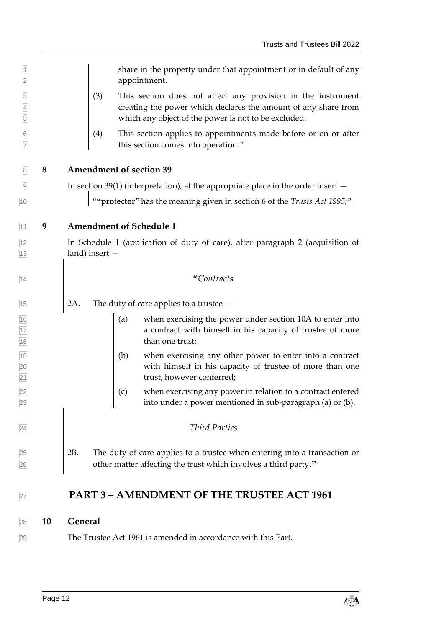<span id="page-11-1"></span><span id="page-11-0"></span> $\parallel$  share in the property under that appointment or in default of any appointment. (3) This section does not affect any provision in the instrument creating the power which declares the amount of any share from which any object of the power is not to be excluded.  $\boxed{6}$  (4) This section applies to appointments made before or on or after this section comes into operation*.*" **8 Amendment of section 39**  $\Theta$  In section 39(1) (interpretation), at the appropriate place in the order insert  $-$  "**"protector"** has the meaning given in section 6 of the *Trusts Act 1995;*"*.* **9 Amendment of Schedule 1** In Schedule 1 (application of duty of care), after paragraph 2 (acquisition of land) insert — *"Contracts* 2A. The duty of care applies to a trustee —  $\begin{bmatrix} 16 \\ 16 \end{bmatrix}$  (a) when exercising the power under section 10A to enter into **a** contract with himself in his capacity of trustee of more 18 than one trust; (b) when exercising any other power to enter into a contract with himself in his capacity of trustee of more than one **trust, however conferred;**  $\vert$  (c) when exercising any power in relation to a contract entered into under a power mentioned in sub-paragraph (a) or (b). *Third Parties* 2B. The duty of care applies to a trustee when entering into a transaction or other matter affecting the trust which involves a third party.**" PART 3 – AMENDMENT OF THE TRUSTEE ACT 1961**

### <span id="page-11-3"></span><span id="page-11-2"></span>**10 General**

The Trustee Act 1961 is amended in accordance with this Part.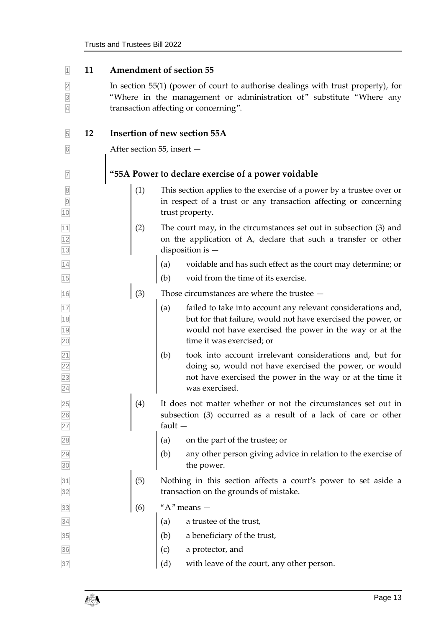<span id="page-12-1"></span><span id="page-12-0"></span>

| $\vert$ 1                                          | 11 | <b>Amendment of section 55</b>                                                                                                                                                                    |                                                                                                                                                                                                                             |  |  |
|----------------------------------------------------|----|---------------------------------------------------------------------------------------------------------------------------------------------------------------------------------------------------|-----------------------------------------------------------------------------------------------------------------------------------------------------------------------------------------------------------------------------|--|--|
| $\overline{2}$<br>$\overline{3}$<br>$\overline{4}$ |    | In section 55(1) (power of court to authorise dealings with trust property), for<br>"Where in the management or administration of" substitute "Where any<br>transaction affecting or concerning". |                                                                                                                                                                                                                             |  |  |
| 5                                                  | 12 | Insertion of new section 55A                                                                                                                                                                      |                                                                                                                                                                                                                             |  |  |
| $\boxed{6}$                                        |    | After section 55, insert -                                                                                                                                                                        |                                                                                                                                                                                                                             |  |  |
| $\overline{7}$                                     |    | "55A Power to declare exercise of a power voidable                                                                                                                                                |                                                                                                                                                                                                                             |  |  |
| $\overline{8}$<br>$\overline{9}$<br>10             |    | (1)                                                                                                                                                                                               | This section applies to the exercise of a power by a trustee over or<br>in respect of a trust or any transaction affecting or concerning<br>trust property.                                                                 |  |  |
| 11<br>12<br>13                                     |    | (2)                                                                                                                                                                                               | The court may, in the circumstances set out in subsection (3) and<br>on the application of A, declare that such a transfer or other<br>disposition is $-$                                                                   |  |  |
| 14                                                 |    |                                                                                                                                                                                                   | voidable and has such effect as the court may determine; or<br>(a)                                                                                                                                                          |  |  |
| 15                                                 |    |                                                                                                                                                                                                   | void from the time of its exercise.<br>(b)                                                                                                                                                                                  |  |  |
| 16                                                 |    | (3)                                                                                                                                                                                               | Those circumstances are where the trustee $-$                                                                                                                                                                               |  |  |
| 17<br>$\boxed{18}$<br>19<br>20                     |    |                                                                                                                                                                                                   | failed to take into account any relevant considerations and,<br>(a)<br>but for that failure, would not have exercised the power, or<br>would not have exercised the power in the way or at the<br>time it was exercised; or |  |  |
| $\boxed{21}$<br>$\overline{22}$<br>23<br>24        |    |                                                                                                                                                                                                   | (b)<br>took into account irrelevant considerations and, but for<br>doing so, would not have exercised the power, or would<br>not have exercised the power in the way or at the time it<br>was exercised.                    |  |  |
| $\frac{25}{26}$<br>$\frac{26}{27}$                 |    | (4)                                                                                                                                                                                               | It does not matter whether or not the circumstances set out in<br>subsection (3) occurred as a result of a lack of care or other<br>fault $-$                                                                               |  |  |
| 28                                                 |    |                                                                                                                                                                                                   | on the part of the trustee; or<br>(a)                                                                                                                                                                                       |  |  |
| 29<br>30                                           |    |                                                                                                                                                                                                   | (b)<br>any other person giving advice in relation to the exercise of<br>the power.                                                                                                                                          |  |  |
| 31<br>32                                           |    | (5)                                                                                                                                                                                               | Nothing in this section affects a court's power to set aside a<br>transaction on the grounds of mistake.                                                                                                                    |  |  |
| 33                                                 |    | (6)                                                                                                                                                                                               | " $A$ " means $-$                                                                                                                                                                                                           |  |  |
| 34                                                 |    |                                                                                                                                                                                                   | a trustee of the trust,<br>(a)                                                                                                                                                                                              |  |  |
| 35                                                 |    |                                                                                                                                                                                                   | a beneficiary of the trust,<br>(b)                                                                                                                                                                                          |  |  |
| 36                                                 |    |                                                                                                                                                                                                   | a protector, and<br>(c)                                                                                                                                                                                                     |  |  |
| 37                                                 |    |                                                                                                                                                                                                   | with leave of the court, any other person.<br>(d)                                                                                                                                                                           |  |  |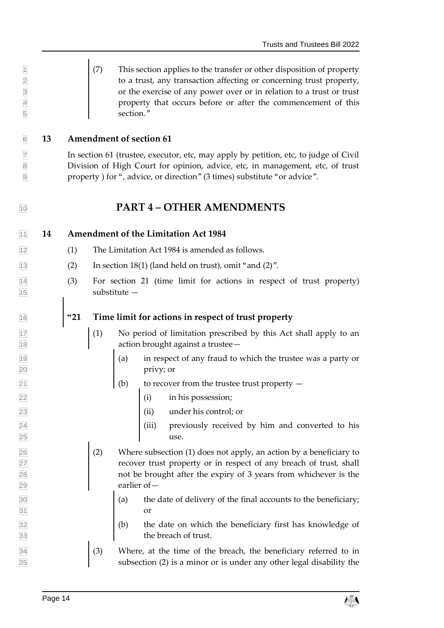(7) This section applies to the transfer or other disposition of property 2 to a trust, any transaction affecting or concerning trust property, or the exercise of any power over or in relation to a trust or trust property that occurs before or after the commencement of this section."

#### <span id="page-13-0"></span>**13 Amendment of section 61**

 In section 61 (trustee, executor, etc, may apply by petition, etc, to judge of Civil Division of High Court for opinion, advice, etc, in management, etc, of trust property ) for ", advice, or direction" (3 times) substitute "or advice".

## <span id="page-13-2"></span><span id="page-13-1"></span>**PART 4 – OTHER AMENDMENTS**

**14 Amendment of the Limitation Act 1984**

- (1) The Limitation Act 1984 is amended as follows.
- $\boxed{13}$  (2) In section 18(1) (land held on trust), omit "and (2)".
- (3) For section 21 (time limit for actions in respect of trust property) substitute —

#### **"21 Time limit for actions in respect of trust property**

- $\begin{array}{|c|c|c|c|c|c|} \hline \end{array}$  (1) No period of limitation prescribed by this Act shall apply to an **18 action brought against a trustee**
- $\begin{vmatrix} 19 \\ 19 \end{vmatrix}$  (a) in respect of any fraud to which the trustee was a party or privy; or
- (b) to recover from the trustee trust property —
- (i) in his possession;
- (ii) under his control; or
- (iii) previously received by him and converted to his use.
- $\boxed{26}$  (2) Where subsection (1) does not apply, an action by a beneficiary to recover trust property or in respect of any breach of trust, shall not be brought after the expiry of 3 years from whichever is the earlier of—
- $\begin{cases} (a) \text{ the date of delivery of the final accounts to the benefitiary;} \end{cases}$ or
- $\begin{cases} 32 \\ 9 \end{cases}$  (b) the date on which the beneficiary first has knowledge of 33 the breach of trust.
- $\boxed{34}$  (3) Where, at the time of the breach, the beneficiary referred to in subsection (2) is a minor or is under any other legal disability the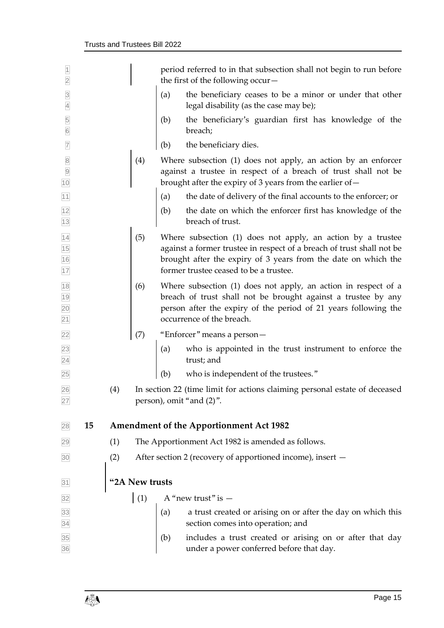<span id="page-14-0"></span>

| $\overline{1}$<br>$\overline{2}$                                  |    |                |                                                                                                        |     | period referred to in that subsection shall not begin to run before<br>the first of the following occur $-$                                                                                                                                      |
|-------------------------------------------------------------------|----|----------------|--------------------------------------------------------------------------------------------------------|-----|--------------------------------------------------------------------------------------------------------------------------------------------------------------------------------------------------------------------------------------------------|
| $\overline{3}$<br>$\overline{4}$                                  |    |                |                                                                                                        | (a) | the beneficiary ceases to be a minor or under that other<br>legal disability (as the case may be);                                                                                                                                               |
| $\frac{5}{6}$                                                     |    |                |                                                                                                        | (b) | the beneficiary's guardian first has knowledge of the<br>breach;                                                                                                                                                                                 |
| $\overline{7}$                                                    |    |                |                                                                                                        | (b) | the beneficiary dies.                                                                                                                                                                                                                            |
| $\begin{array}{c}\n8 \\ 9\n\end{array}$<br>10                     |    |                | (4)                                                                                                    |     | Where subsection (1) does not apply, an action by an enforcer<br>against a trustee in respect of a breach of trust shall not be<br>brought after the expiry of 3 years from the earlier of-                                                      |
| 11                                                                |    |                |                                                                                                        | (a) | the date of delivery of the final accounts to the enforcer; or                                                                                                                                                                                   |
| 12<br>$13$                                                        |    |                |                                                                                                        | (b) | the date on which the enforcer first has knowledge of the<br>breach of trust.                                                                                                                                                                    |
| 14<br>15<br>16<br>17                                              |    |                | (5)                                                                                                    |     | Where subsection (1) does not apply, an action by a trustee<br>against a former trustee in respect of a breach of trust shall not be<br>brought after the expiry of 3 years from the date on which the<br>former trustee ceased to be a trustee. |
| 18<br>19<br>20<br>21                                              |    |                | (6)                                                                                                    |     | Where subsection (1) does not apply, an action in respect of a<br>breach of trust shall not be brought against a trustee by any<br>person after the expiry of the period of 21 years following the<br>occurrence of the breach.                  |
| 22                                                                |    |                | (7)                                                                                                    |     | "Enforcer" means a person-                                                                                                                                                                                                                       |
| 23<br>$\overline{24}$                                             |    |                |                                                                                                        | (a) | who is appointed in the trust instrument to enforce the<br>trust; and                                                                                                                                                                            |
| 25                                                                |    |                |                                                                                                        | (b) | who is independent of the trustees."                                                                                                                                                                                                             |
| 26<br>27                                                          |    | (4)            | In section 22 (time limit for actions claiming personal estate of deceased<br>person), omit "and (2)". |     |                                                                                                                                                                                                                                                  |
| 28                                                                | 15 |                | <b>Amendment of the Apportionment Act 1982</b>                                                         |     |                                                                                                                                                                                                                                                  |
| 29                                                                |    | (1)            |                                                                                                        |     | The Apportionment Act 1982 is amended as follows.                                                                                                                                                                                                |
| 30                                                                |    | (2)            | After section 2 (recovery of apportioned income), insert -                                             |     |                                                                                                                                                                                                                                                  |
| 31                                                                |    | "2A New trusts |                                                                                                        |     |                                                                                                                                                                                                                                                  |
| 32                                                                |    |                | (1)                                                                                                    |     | A "new trust" is $-$                                                                                                                                                                                                                             |
|                                                                   |    |                |                                                                                                        | (a) | a trust created or arising on or after the day on which this<br>section comes into operation; and                                                                                                                                                |
| $\begin{array}{r} 33 \\ 34 \\ \hline 35 \\ \hline 36 \end{array}$ |    |                |                                                                                                        | (b) | includes a trust created or arising on or after that day<br>under a power conferred before that day.                                                                                                                                             |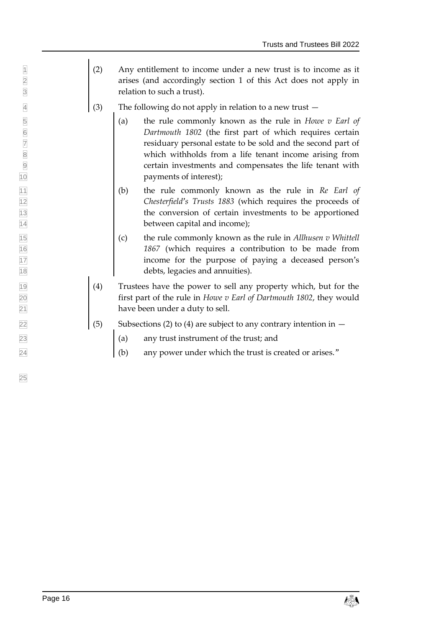- $\vert$  (2) Any entitlement to income under a new trust is to income as it arises (and accordingly section 1 of this Act does not apply in relation to such a trust).
- $\frac{4}{3}$  (3) The following do not apply in relation to a new trust  $-$
- 5 (a) the rule commonly known as the rule in *Howe v Earl of Dartmouth 1802* (the first part of which requires certain residuary personal estate to be sold and the second part of *Dartmouth 1802* (the first part of which requires certain residuary personal estate to be sold and the second part of 8 8 which withholds from a life tenant income arising from certain investments and compensates the life tenant with payments of interest);
- (b) the rule commonly known as the rule in *Re Earl of Chesterfield's Trusts 1883* (which requires the proceeds of the conversion of certain investments to be apportioned **between capital and income);**
- (c) the rule commonly known as the rule in *Allhusen v Whittell 1867* (which requires a contribution to be made from income for the purpose of paying a deceased person's debts, legacies and annuities).
- (4) Trustees have the power to sell any property which, but for the first part of the rule in *Howe v Earl of Dartmouth 1802*, they would **have been under a duty to sell.**
- $\boxed{22}$  (5) Subsections (2) to (4) are subject to any contrary intention in  $-$
- (a) any trust instrument of the trust; and
- $\begin{bmatrix} 24 \\ 4 \end{bmatrix}$  (b) any power under which the trust is created or arises."